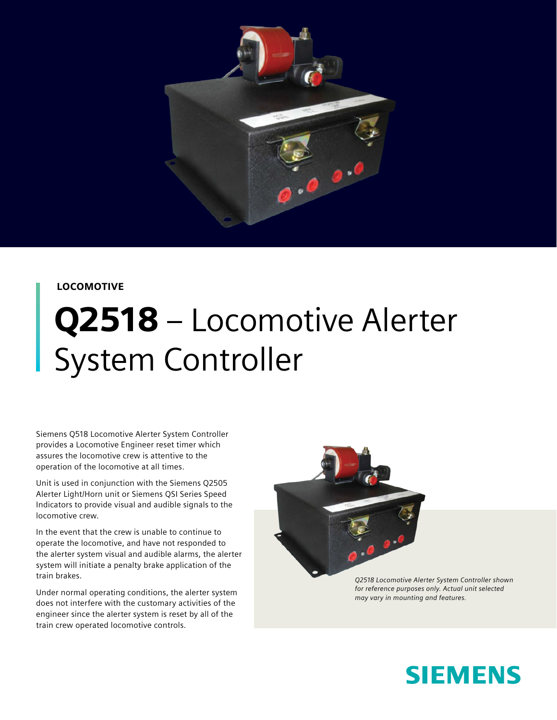

#### LOCOMOTIVE

# Q2518 – Locomotive Alerter System Controller

Siemens Q518 Locomotive Alerter System Controller provides a Locomotive Engineer reset timer which assures the locomotive crew is attentive to the operation of the locomotive at all times.

Unit is used in conjunction with the Siemens Q2505 Alerter Light/Horn unit or Siemens QSI Series Speed Indicators to provide visual and audible signals to the locomotive crew.

In the event that the crew is unable to continue to operate the locomotive, and have not responded to the alerter system visual and audible alarms, the alerter system will initiate a penalty brake application of the train brakes.

Under normal operating conditions, the alerter system does not interfere with the customary activities of the engineer since the alerter system is reset by all of the train crew operated locomotive controls.



*Q2518 Locomotive Alerter System Controller shown for reference purposes only. Actual unit selected may vary in mounting and features.*